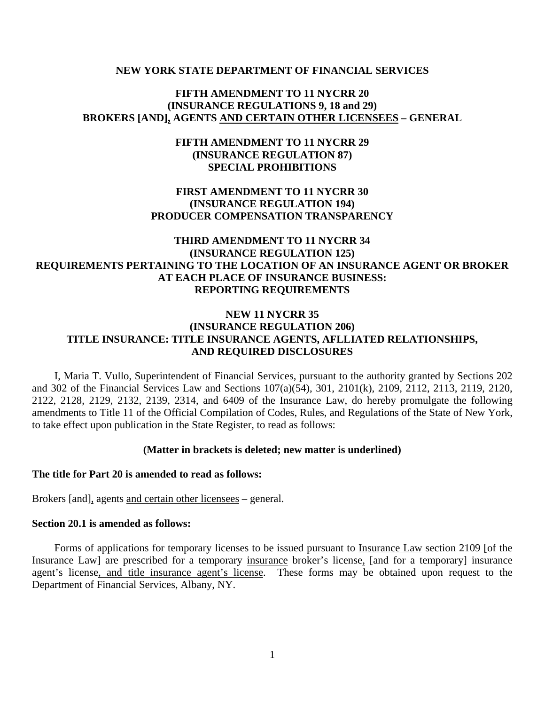#### **NEW YORK STATE DEPARTMENT OF FINANCIAL SERVICES**

# **FIFTH AMENDMENT TO 11 NYCRR 20 (INSURANCE REGULATIONS 9, 18 and 29) BROKERS [AND], AGENTS AND CERTAIN OTHER LICENSEES – GENERAL**

# **FIFTH AMENDMENT TO 11 NYCRR 29 (INSURANCE REGULATION 87) SPECIAL PROHIBITIONS**

# **FIRST AMENDMENT TO 11 NYCRR 30 (INSURANCE REGULATION 194) PRODUCER COMPENSATION TRANSPARENCY**

# **THIRD AMENDMENT TO 11 NYCRR 34 (INSURANCE REGULATION 125) REQUIREMENTS PERTAINING TO THE LOCATION OF AN INSURANCE AGENT OR BROKER AT EACH PLACE OF INSURANCE BUSINESS: REPORTING REQUIREMENTS**

# **NEW 11 NYCRR 35 (INSURANCE REGULATION 206) TITLE INSURANCE: TITLE INSURANCE AGENTS, AFLLIATED RELATIONSHIPS, AND REQUIRED DISCLOSURES**

I, Maria T. Vullo, Superintendent of Financial Services, pursuant to the authority granted by Sections 202 and 302 of the Financial Services Law and Sections 107(a)(54), 301, 2101(k), 2109, 2112, 2113, 2119, 2120, 2122, 2128, 2129, 2132, 2139, 2314, and 6409 of the Insurance Law, do hereby promulgate the following amendments to Title 11 of the Official Compilation of Codes, Rules, and Regulations of the State of New York, to take effect upon publication in the State Register, to read as follows:

## **(Matter in brackets is deleted; new matter is underlined)**

## **The title for Part 20 is amended to read as follows:**

Brokers [and], agents and certain other licensees – general.

## **Section 20.1 is amended as follows:**

Forms of applications for temporary licenses to be issued pursuant to Insurance Law section 2109 [of the Insurance Law] are prescribed for a temporary insurance broker's license, [and for a temporary] insurance agent's license, and title insurance agent's license. These forms may be obtained upon request to the Department of Financial Services, Albany, NY.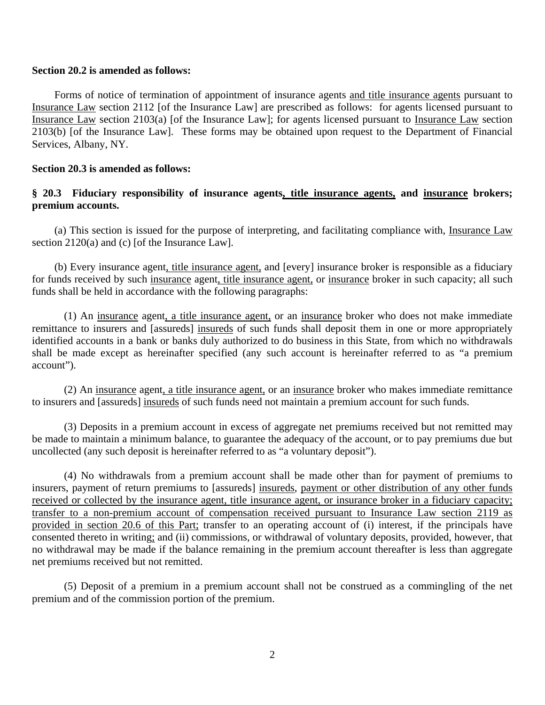#### **Section 20.2 is amended as follows:**

Forms of notice of termination of appointment of insurance agents and title insurance agents pursuant to Insurance Law section 2112 [of the Insurance Law] are prescribed as follows: for agents licensed pursuant to Insurance Law section 2103(a) [of the Insurance Law]; for agents licensed pursuant to Insurance Law section 2103(b) [of the Insurance Law]. These forms may be obtained upon request to the Department of Financial Services, Albany, NY.

## **Section 20.3 is amended as follows:**

# **§ 20.3 Fiduciary responsibility of insurance agents, title insurance agents, and insurance brokers; premium accounts.**

(a) This section is issued for the purpose of interpreting, and facilitating compliance with, Insurance Law section 2120(a) and (c) [of the Insurance Law].

(b) Every insurance agent, title insurance agent, and [every] insurance broker is responsible as a fiduciary for funds received by such insurance agent, title insurance agent, or insurance broker in such capacity; all such funds shall be held in accordance with the following paragraphs:

(1) An insurance agent, a title insurance agent, or an insurance broker who does not make immediate remittance to insurers and [assureds] insureds of such funds shall deposit them in one or more appropriately identified accounts in a bank or banks duly authorized to do business in this State, from which no withdrawals shall be made except as hereinafter specified (any such account is hereinafter referred to as "a premium account").

(2) An insurance agent, a title insurance agent, or an insurance broker who makes immediate remittance to insurers and [assureds] insureds of such funds need not maintain a premium account for such funds.

(3) Deposits in a premium account in excess of aggregate net premiums received but not remitted may be made to maintain a minimum balance, to guarantee the adequacy of the account, or to pay premiums due but uncollected (any such deposit is hereinafter referred to as "a voluntary deposit").

(4) No withdrawals from a premium account shall be made other than for payment of premiums to insurers, payment of return premiums to [assureds] insureds, payment or other distribution of any other funds received or collected by the insurance agent, title insurance agent, or insurance broker in a fiduciary capacity; transfer to a non-premium account of compensation received pursuant to Insurance Law section 2119 as provided in section 20.6 of this Part; transfer to an operating account of (i) interest, if the principals have consented thereto in writing; and (ii) commissions, or withdrawal of voluntary deposits, provided, however, that no withdrawal may be made if the balance remaining in the premium account thereafter is less than aggregate net premiums received but not remitted.

(5) Deposit of a premium in a premium account shall not be construed as a commingling of the net premium and of the commission portion of the premium.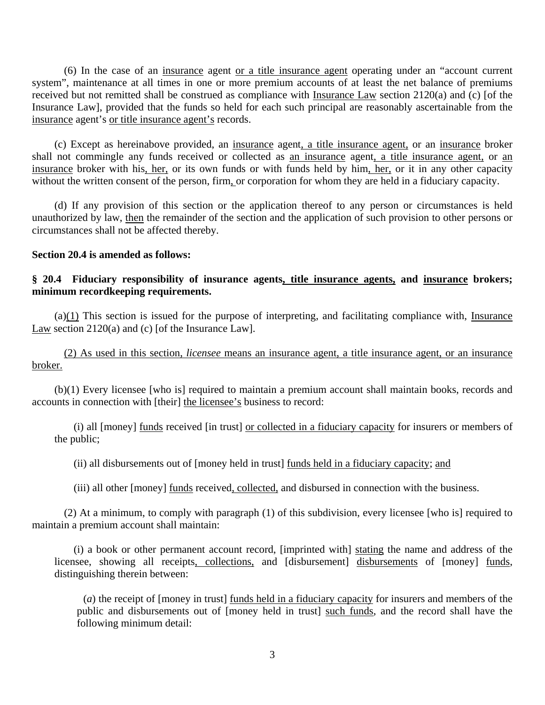(6) In the case of an insurance agent or a title insurance agent operating under an "account current system", maintenance at all times in one or more premium accounts of at least the net balance of premiums received but not remitted shall be construed as compliance with Insurance Law section 2120(a) and (c) [of the Insurance Law], provided that the funds so held for each such principal are reasonably ascertainable from the insurance agent's or title insurance agent's records.

(c) Except as hereinabove provided, an insurance agent, a title insurance agent, or an insurance broker shall not commingle any funds received or collected as an insurance agent, a title insurance agent, or an insurance broker with his, her, or its own funds or with funds held by him, her, or it in any other capacity without the written consent of the person, firm, or corporation for whom they are held in a fiduciary capacity.

(d) If any provision of this section or the application thereof to any person or circumstances is held unauthorized by law, then the remainder of the section and the application of such provision to other persons or circumstances shall not be affected thereby.

## **Section 20.4 is amended as follows:**

# **§ 20.4 Fiduciary responsibility of insurance agents, title insurance agents, and insurance brokers; minimum recordkeeping requirements.**

 $(a)(1)$  This section is issued for the purpose of interpreting, and facilitating compliance with, Insurance Law section 2120(a) and (c) [of the Insurance Law].

(2) As used in this section, *licensee* means an insurance agent, a title insurance agent, or an insurance broker.

(b)(1) Every licensee [who is] required to maintain a premium account shall maintain books, records and accounts in connection with [their] the licensee's business to record:

(i) all [money] funds received [in trust] or collected in a fiduciary capacity for insurers or members of the public;

(ii) all disbursements out of [money held in trust] funds held in a fiduciary capacity; and

(iii) all other [money] funds received, collected, and disbursed in connection with the business.

(2) At a minimum, to comply with paragraph (1) of this subdivision, every licensee [who is] required to maintain a premium account shall maintain:

(i) a book or other permanent account record, [imprinted with] stating the name and address of the licensee, showing all receipts, collections, and [disbursement] disbursements of [money] funds, distinguishing therein between:

(*a*) the receipt of [money in trust] funds held in a fiduciary capacity for insurers and members of the public and disbursements out of [money held in trust] such funds, and the record shall have the following minimum detail: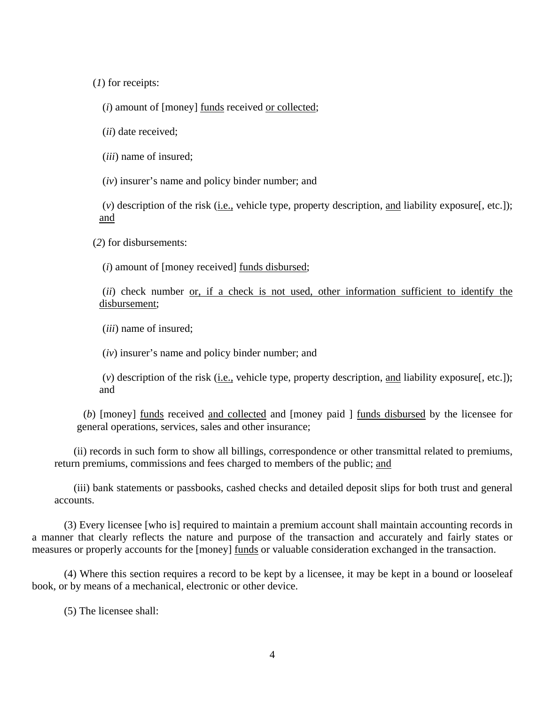(*1*) for receipts:

(*i*) amount of [money] funds received or collected;

(*ii*) date received;

(*iii*) name of insured;

(*iv*) insurer's name and policy binder number; and

(*v*) description of the risk (i.e., vehicle type, property description, and liability exposure[, etc.]); and

(*2*) for disbursements:

(*i*) amount of [money received] funds disbursed;

 (*ii*) check number or, if a check is not used, other information sufficient to identify the disbursement;

(*iii*) name of insured;

(*iv*) insurer's name and policy binder number; and

(*v*) description of the risk (i.e., vehicle type, property description, and liability exposure[, etc.]); and

(*b*) [money] funds received and collected and [money paid ] funds disbursed by the licensee for general operations, services, sales and other insurance;

(ii) records in such form to show all billings, correspondence or other transmittal related to premiums, return premiums, commissions and fees charged to members of the public; and

(iii) bank statements or passbooks, cashed checks and detailed deposit slips for both trust and general accounts.

(3) Every licensee [who is] required to maintain a premium account shall maintain accounting records in a manner that clearly reflects the nature and purpose of the transaction and accurately and fairly states or measures or properly accounts for the [money] funds or valuable consideration exchanged in the transaction.

(4) Where this section requires a record to be kept by a licensee, it may be kept in a bound or looseleaf book, or by means of a mechanical, electronic or other device.

(5) The licensee shall: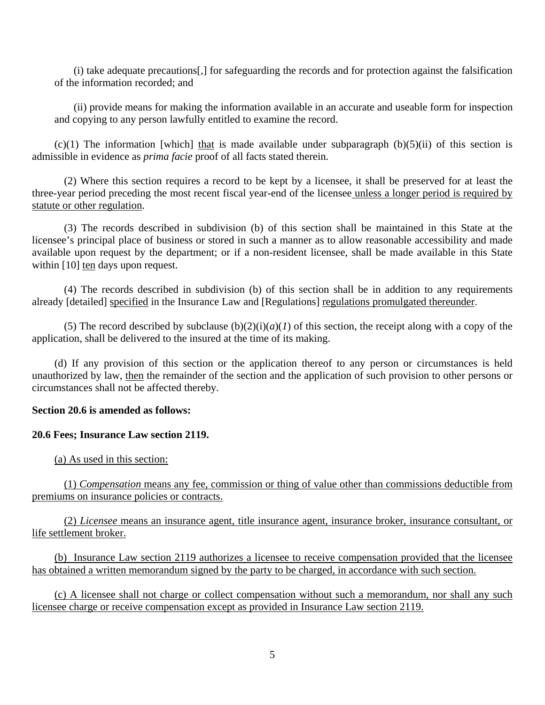(i) take adequate precautions[,] for safeguarding the records and for protection against the falsification of the information recorded; and

(ii) provide means for making the information available in an accurate and useable form for inspection and copying to any person lawfully entitled to examine the record.

 $(c)(1)$  The information [which] that is made available under subparagraph  $(b)(5)(ii)$  of this section is admissible in evidence as *prima facie* proof of all facts stated therein.

(2) Where this section requires a record to be kept by a licensee, it shall be preserved for at least the three-year period preceding the most recent fiscal year-end of the licensee unless a longer period is required by statute or other regulation.

(3) The records described in subdivision (b) of this section shall be maintained in this State at the licensee's principal place of business or stored in such a manner as to allow reasonable accessibility and made available upon request by the department; or if a non-resident licensee, shall be made available in this State within [10] ten days upon request.

(4) The records described in subdivision (b) of this section shall be in addition to any requirements already [detailed] specified in the Insurance Law and [Regulations] regulations promulgated thereunder.

(5) The record described by subclause  $(b)(2)(i)(a)(1)$  of this section, the receipt along with a copy of the application, shall be delivered to the insured at the time of its making.

(d) If any provision of this section or the application thereof to any person or circumstances is held unauthorized by law, then the remainder of the section and the application of such provision to other persons or circumstances shall not be affected thereby.

# **Section 20.6 is amended as follows:**

# **20.6 Fees; Insurance Law section 2119.**

(a) As used in this section:

(1) *Compensation* means any fee, commission or thing of value other than commissions deductible from premiums on insurance policies or contracts.

(2) *Licensee* means an insurance agent, title insurance agent, insurance broker, insurance consultant, or life settlement broker.

(b) Insurance Law section 2119 authorizes a licensee to receive compensation provided that the licensee has obtained a written memorandum signed by the party to be charged, in accordance with such section.

(c) A licensee shall not charge or collect compensation without such a memorandum, nor shall any such licensee charge or receive compensation except as provided in Insurance Law section 2119.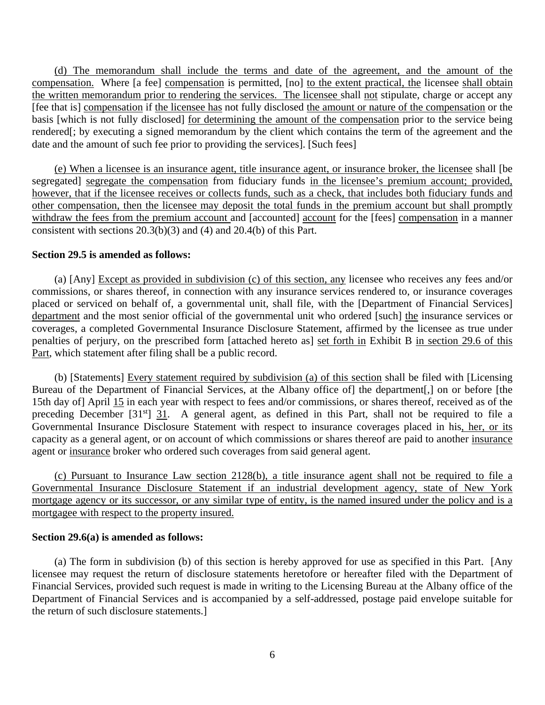(d) The memorandum shall include the terms and date of the agreement, and the amount of the compensation. Where [a fee] compensation is permitted, [no] to the extent practical, the licensee shall obtain the written memorandum prior to rendering the services. The licensee shall not stipulate, charge or accept any [fee that is] compensation if the licensee has not fully disclosed the amount or nature of the compensation or the basis [which is not fully disclosed] for determining the amount of the compensation prior to the service being rendered[; by executing a signed memorandum by the client which contains the term of the agreement and the date and the amount of such fee prior to providing the services]. [Such fees]

(e) When a licensee is an insurance agent, title insurance agent, or insurance broker, the licensee shall [be segregated] segregate the compensation from fiduciary funds in the licensee's premium account; provided, however, that if the licensee receives or collects funds, such as a check, that includes both fiduciary funds and other compensation, then the licensee may deposit the total funds in the premium account but shall promptly withdraw the fees from the premium account and [accounted] account for the [fees] compensation in a manner consistent with sections 20.3(b)(3) and (4) and 20.4(b) of this Part.

## **Section 29.5 is amended as follows:**

(a) [Any] Except as provided in subdivision (c) of this section, any licensee who receives any fees and/or commissions, or shares thereof, in connection with any insurance services rendered to, or insurance coverages placed or serviced on behalf of, a governmental unit, shall file, with the [Department of Financial Services] department and the most senior official of the governmental unit who ordered [such] the insurance services or coverages, a completed Governmental Insurance Disclosure Statement, affirmed by the licensee as true under penalties of perjury, on the prescribed form [attached hereto as] set forth in Exhibit B in section 29.6 of this Part, which statement after filing shall be a public record.

(b) [Statements] Every statement required by subdivision (a) of this section shall be filed with [Licensing Bureau of the Department of Financial Services, at the Albany office of] the department[,] on or before [the 15th day of] April 15 in each year with respect to fees and/or commissions, or shares thereof, received as of the preceding December  $[31<sup>st</sup>]$  31. A general agent, as defined in this Part, shall not be required to file a Governmental Insurance Disclosure Statement with respect to insurance coverages placed in his, her, or its capacity as a general agent, or on account of which commissions or shares thereof are paid to another insurance agent or insurance broker who ordered such coverages from said general agent.

(c) Pursuant to Insurance Law section 2128(b), a title insurance agent shall not be required to file a Governmental Insurance Disclosure Statement if an industrial development agency, state of New York mortgage agency or its successor, or any similar type of entity, is the named insured under the policy and is a mortgagee with respect to the property insured.

## **Section 29.6(a) is amended as follows:**

(a) The form in subdivision (b) of this section is hereby approved for use as specified in this Part. [Any licensee may request the return of disclosure statements heretofore or hereafter filed with the Department of Financial Services, provided such request is made in writing to the Licensing Bureau at the Albany office of the Department of Financial Services and is accompanied by a self-addressed, postage paid envelope suitable for the return of such disclosure statements.]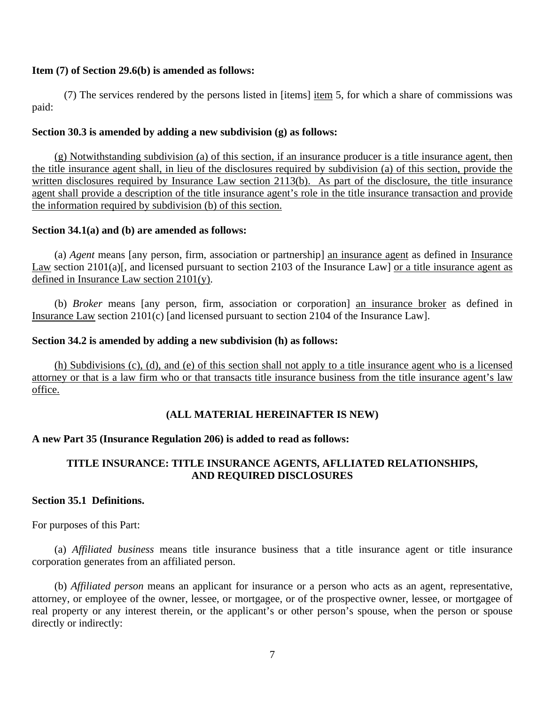## **Item (7) of Section 29.6(b) is amended as follows:**

(7) The services rendered by the persons listed in [items] item 5, for which a share of commissions was paid:

# **Section 30.3 is amended by adding a new subdivision (g) as follows:**

(g) Notwithstanding subdivision (a) of this section, if an insurance producer is a title insurance agent, then the title insurance agent shall, in lieu of the disclosures required by subdivision (a) of this section, provide the written disclosures required by Insurance Law section 2113(b). As part of the disclosure, the title insurance agent shall provide a description of the title insurance agent's role in the title insurance transaction and provide the information required by subdivision (b) of this section.

# **Section 34.1(a) and (b) are amended as follows:**

(a) *Agent* means [any person, firm, association or partnership] an insurance agent as defined in Insurance Law section 2101(a)[, and licensed pursuant to section 2103 of the Insurance Law] or a title insurance agent as defined in Insurance Law section 2101(y).

(b) *Broker* means [any person, firm, association or corporation] an insurance broker as defined in Insurance Law section 2101(c) [and licensed pursuant to section 2104 of the Insurance Law].

# **Section 34.2 is amended by adding a new subdivision (h) as follows:**

(h) Subdivisions (c), (d), and (e) of this section shall not apply to a title insurance agent who is a licensed attorney or that is a law firm who or that transacts title insurance business from the title insurance agent's law office.

# **(ALL MATERIAL HEREINAFTER IS NEW)**

# **A new Part 35 (Insurance Regulation 206) is added to read as follows:**

# **TITLE INSURANCE: TITLE INSURANCE AGENTS, AFLLIATED RELATIONSHIPS, AND REQUIRED DISCLOSURES**

# **Section 35.1 Definitions.**

For purposes of this Part:

(a) *Affiliated business* means title insurance business that a title insurance agent or title insurance corporation generates from an affiliated person.

(b) *Affiliated person* means an applicant for insurance or a person who acts as an agent, representative, attorney, or employee of the owner, lessee, or mortgagee, or of the prospective owner, lessee, or mortgagee of real property or any interest therein, or the applicant's or other person's spouse, when the person or spouse directly or indirectly: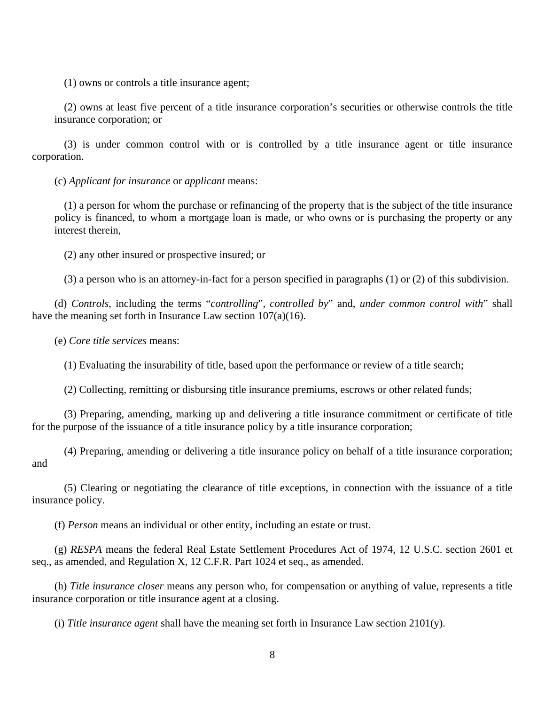(1) owns or controls a title insurance agent;

(2) owns at least five percent of a title insurance corporation's securities or otherwise controls the title insurance corporation; or

(3) is under common control with or is controlled by a title insurance agent or title insurance corporation.

(c) *Applicant for insurance* or *applicant* means:

(1) a person for whom the purchase or refinancing of the property that is the subject of the title insurance policy is financed, to whom a mortgage loan is made, or who owns or is purchasing the property or any interest therein,

(2) any other insured or prospective insured; or

(3) a person who is an attorney-in-fact for a person specified in paragraphs (1) or (2) of this subdivision.

(d) *Controls*, including the terms "*controlling*", *controlled by*" and, *under common control with*" shall have the meaning set forth in Insurance Law section 107(a)(16).

(e) *Core title services* means:

(1) Evaluating the insurability of title, based upon the performance or review of a title search;

(2) Collecting, remitting or disbursing title insurance premiums, escrows or other related funds;

(3) Preparing, amending, marking up and delivering a title insurance commitment or certificate of title for the purpose of the issuance of a title insurance policy by a title insurance corporation;

(4) Preparing, amending or delivering a title insurance policy on behalf of a title insurance corporation; and

(5) Clearing or negotiating the clearance of title exceptions, in connection with the issuance of a title insurance policy.

(f) *Person* means an individual or other entity, including an estate or trust.

(g) *RESPA* means the federal Real Estate Settlement Procedures Act of 1974, 12 U.S.C. section 2601 et seq., as amended, and Regulation X, 12 C.F.R. Part 1024 et seq., as amended.

(h) *Title insurance closer* means any person who, for compensation or anything of value, represents a title insurance corporation or title insurance agent at a closing.

(i) *Title insurance agent* shall have the meaning set forth in Insurance Law section 2101(y).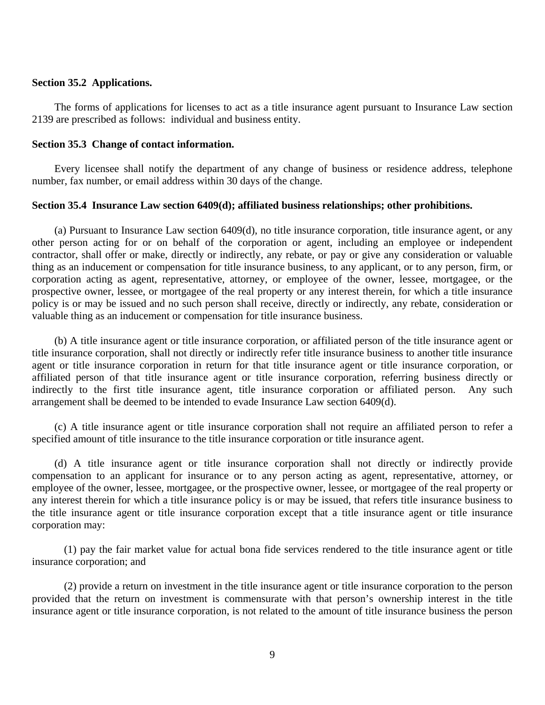## **Section 35.2 Applications.**

The forms of applications for licenses to act as a title insurance agent pursuant to Insurance Law section 2139 are prescribed as follows: individual and business entity.

#### **Section 35.3 Change of contact information.**

Every licensee shall notify the department of any change of business or residence address, telephone number, fax number, or email address within 30 days of the change.

## **Section 35.4 Insurance Law section 6409(d); affiliated business relationships; other prohibitions.**

(a) Pursuant to Insurance Law section 6409(d), no title insurance corporation, title insurance agent, or any other person acting for or on behalf of the corporation or agent, including an employee or independent contractor, shall offer or make, directly or indirectly, any rebate, or pay or give any consideration or valuable thing as an inducement or compensation for title insurance business, to any applicant, or to any person, firm, or corporation acting as agent, representative, attorney, or employee of the owner, lessee, mortgagee, or the prospective owner, lessee, or mortgagee of the real property or any interest therein, for which a title insurance policy is or may be issued and no such person shall receive, directly or indirectly, any rebate, consideration or valuable thing as an inducement or compensation for title insurance business.

(b) A title insurance agent or title insurance corporation, or affiliated person of the title insurance agent or title insurance corporation, shall not directly or indirectly refer title insurance business to another title insurance agent or title insurance corporation in return for that title insurance agent or title insurance corporation, or affiliated person of that title insurance agent or title insurance corporation, referring business directly or indirectly to the first title insurance agent, title insurance corporation or affiliated person. Any such arrangement shall be deemed to be intended to evade Insurance Law section 6409(d).

(c) A title insurance agent or title insurance corporation shall not require an affiliated person to refer a specified amount of title insurance to the title insurance corporation or title insurance agent.

(d) A title insurance agent or title insurance corporation shall not directly or indirectly provide compensation to an applicant for insurance or to any person acting as agent, representative, attorney, or employee of the owner, lessee, mortgagee, or the prospective owner, lessee, or mortgagee of the real property or any interest therein for which a title insurance policy is or may be issued, that refers title insurance business to the title insurance agent or title insurance corporation except that a title insurance agent or title insurance corporation may:

(1) pay the fair market value for actual bona fide services rendered to the title insurance agent or title insurance corporation; and

(2) provide a return on investment in the title insurance agent or title insurance corporation to the person provided that the return on investment is commensurate with that person's ownership interest in the title insurance agent or title insurance corporation, is not related to the amount of title insurance business the person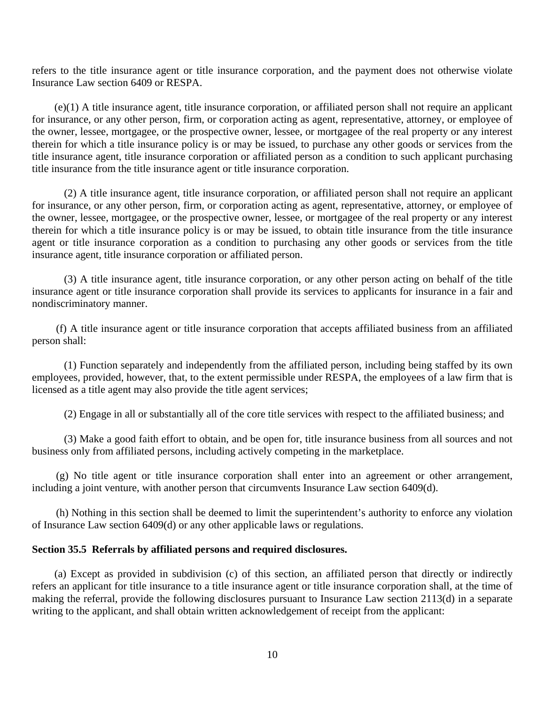refers to the title insurance agent or title insurance corporation, and the payment does not otherwise violate Insurance Law section 6409 or RESPA.

(e)(1) A title insurance agent, title insurance corporation, or affiliated person shall not require an applicant for insurance, or any other person, firm, or corporation acting as agent, representative, attorney, or employee of the owner, lessee, mortgagee, or the prospective owner, lessee, or mortgagee of the real property or any interest therein for which a title insurance policy is or may be issued, to purchase any other goods or services from the title insurance agent, title insurance corporation or affiliated person as a condition to such applicant purchasing title insurance from the title insurance agent or title insurance corporation.

(2) A title insurance agent, title insurance corporation, or affiliated person shall not require an applicant for insurance, or any other person, firm, or corporation acting as agent, representative, attorney, or employee of the owner, lessee, mortgagee, or the prospective owner, lessee, or mortgagee of the real property or any interest therein for which a title insurance policy is or may be issued, to obtain title insurance from the title insurance agent or title insurance corporation as a condition to purchasing any other goods or services from the title insurance agent, title insurance corporation or affiliated person.

(3) A title insurance agent, title insurance corporation, or any other person acting on behalf of the title insurance agent or title insurance corporation shall provide its services to applicants for insurance in a fair and nondiscriminatory manner.

(f) A title insurance agent or title insurance corporation that accepts affiliated business from an affiliated person shall:

(1) Function separately and independently from the affiliated person, including being staffed by its own employees, provided, however, that, to the extent permissible under RESPA, the employees of a law firm that is licensed as a title agent may also provide the title agent services;

(2) Engage in all or substantially all of the core title services with respect to the affiliated business; and

(3) Make a good faith effort to obtain, and be open for, title insurance business from all sources and not business only from affiliated persons, including actively competing in the marketplace.

(g) No title agent or title insurance corporation shall enter into an agreement or other arrangement, including a joint venture, with another person that circumvents Insurance Law section 6409(d).

(h) Nothing in this section shall be deemed to limit the superintendent's authority to enforce any violation of Insurance Law section 6409(d) or any other applicable laws or regulations.

#### **Section 35.5 Referrals by affiliated persons and required disclosures.**

(a) Except as provided in subdivision (c) of this section, an affiliated person that directly or indirectly refers an applicant for title insurance to a title insurance agent or title insurance corporation shall, at the time of making the referral, provide the following disclosures pursuant to Insurance Law section 2113(d) in a separate writing to the applicant, and shall obtain written acknowledgement of receipt from the applicant: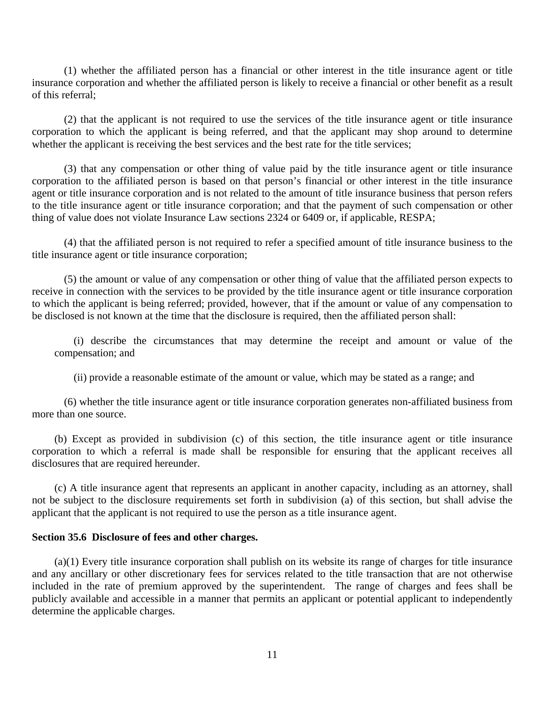(1) whether the affiliated person has a financial or other interest in the title insurance agent or title insurance corporation and whether the affiliated person is likely to receive a financial or other benefit as a result of this referral;

(2) that the applicant is not required to use the services of the title insurance agent or title insurance corporation to which the applicant is being referred, and that the applicant may shop around to determine whether the applicant is receiving the best services and the best rate for the title services;

(3) that any compensation or other thing of value paid by the title insurance agent or title insurance corporation to the affiliated person is based on that person's financial or other interest in the title insurance agent or title insurance corporation and is not related to the amount of title insurance business that person refers to the title insurance agent or title insurance corporation; and that the payment of such compensation or other thing of value does not violate Insurance Law sections 2324 or 6409 or, if applicable, RESPA;

(4) that the affiliated person is not required to refer a specified amount of title insurance business to the title insurance agent or title insurance corporation;

(5) the amount or value of any compensation or other thing of value that the affiliated person expects to receive in connection with the services to be provided by the title insurance agent or title insurance corporation to which the applicant is being referred; provided, however, that if the amount or value of any compensation to be disclosed is not known at the time that the disclosure is required, then the affiliated person shall:

(i) describe the circumstances that may determine the receipt and amount or value of the compensation; and

(ii) provide a reasonable estimate of the amount or value, which may be stated as a range; and

(6) whether the title insurance agent or title insurance corporation generates non-affiliated business from more than one source.

(b) Except as provided in subdivision (c) of this section, the title insurance agent or title insurance corporation to which a referral is made shall be responsible for ensuring that the applicant receives all disclosures that are required hereunder.

(c) A title insurance agent that represents an applicant in another capacity, including as an attorney, shall not be subject to the disclosure requirements set forth in subdivision (a) of this section, but shall advise the applicant that the applicant is not required to use the person as a title insurance agent.

#### **Section 35.6 Disclosure of fees and other charges.**

(a)(1) Every title insurance corporation shall publish on its website its range of charges for title insurance and any ancillary or other discretionary fees for services related to the title transaction that are not otherwise included in the rate of premium approved by the superintendent. The range of charges and fees shall be publicly available and accessible in a manner that permits an applicant or potential applicant to independently determine the applicable charges.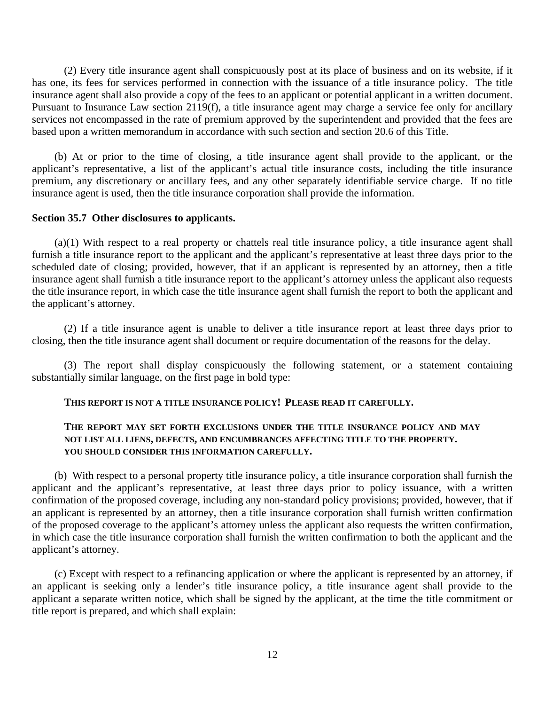(2) Every title insurance agent shall conspicuously post at its place of business and on its website, if it has one, its fees for services performed in connection with the issuance of a title insurance policy. The title insurance agent shall also provide a copy of the fees to an applicant or potential applicant in a written document. Pursuant to Insurance Law section 2119(f), a title insurance agent may charge a service fee only for ancillary services not encompassed in the rate of premium approved by the superintendent and provided that the fees are based upon a written memorandum in accordance with such section and section 20.6 of this Title.

(b) At or prior to the time of closing, a title insurance agent shall provide to the applicant, or the applicant's representative, a list of the applicant's actual title insurance costs, including the title insurance premium, any discretionary or ancillary fees, and any other separately identifiable service charge. If no title insurance agent is used, then the title insurance corporation shall provide the information.

#### **Section 35.7 Other disclosures to applicants.**

(a)(1) With respect to a real property or chattels real title insurance policy, a title insurance agent shall furnish a title insurance report to the applicant and the applicant's representative at least three days prior to the scheduled date of closing; provided, however, that if an applicant is represented by an attorney, then a title insurance agent shall furnish a title insurance report to the applicant's attorney unless the applicant also requests the title insurance report, in which case the title insurance agent shall furnish the report to both the applicant and the applicant's attorney.

(2) If a title insurance agent is unable to deliver a title insurance report at least three days prior to closing, then the title insurance agent shall document or require documentation of the reasons for the delay.

(3) The report shall display conspicuously the following statement, or a statement containing substantially similar language, on the first page in bold type:

### **THIS REPORT IS NOT A TITLE INSURANCE POLICY! PLEASE READ IT CAREFULLY.**

# **THE REPORT MAY SET FORTH EXCLUSIONS UNDER THE TITLE INSURANCE POLICY AND MAY NOT LIST ALL LIENS, DEFECTS, AND ENCUMBRANCES AFFECTING TITLE TO THE PROPERTY. YOU SHOULD CONSIDER THIS INFORMATION CAREFULLY.**

(b) With respect to a personal property title insurance policy, a title insurance corporation shall furnish the applicant and the applicant's representative, at least three days prior to policy issuance, with a written confirmation of the proposed coverage, including any non-standard policy provisions; provided, however, that if an applicant is represented by an attorney, then a title insurance corporation shall furnish written confirmation of the proposed coverage to the applicant's attorney unless the applicant also requests the written confirmation, in which case the title insurance corporation shall furnish the written confirmation to both the applicant and the applicant's attorney.

(c) Except with respect to a refinancing application or where the applicant is represented by an attorney, if an applicant is seeking only a lender's title insurance policy, a title insurance agent shall provide to the applicant a separate written notice, which shall be signed by the applicant, at the time the title commitment or title report is prepared, and which shall explain: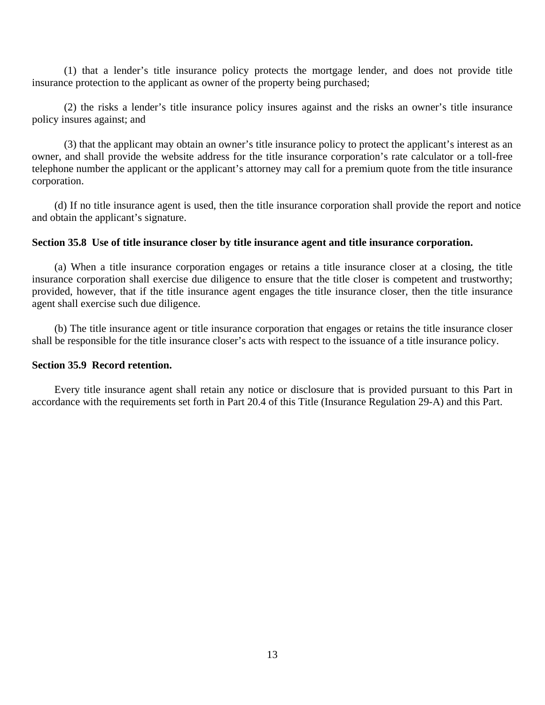(1) that a lender's title insurance policy protects the mortgage lender, and does not provide title insurance protection to the applicant as owner of the property being purchased;

(2) the risks a lender's title insurance policy insures against and the risks an owner's title insurance policy insures against; and

(3) that the applicant may obtain an owner's title insurance policy to protect the applicant's interest as an owner, and shall provide the website address for the title insurance corporation's rate calculator or a toll-free telephone number the applicant or the applicant's attorney may call for a premium quote from the title insurance corporation.

(d) If no title insurance agent is used, then the title insurance corporation shall provide the report and notice and obtain the applicant's signature.

#### **Section 35.8 Use of title insurance closer by title insurance agent and title insurance corporation.**

(a) When a title insurance corporation engages or retains a title insurance closer at a closing, the title insurance corporation shall exercise due diligence to ensure that the title closer is competent and trustworthy; provided, however, that if the title insurance agent engages the title insurance closer, then the title insurance agent shall exercise such due diligence.

(b) The title insurance agent or title insurance corporation that engages or retains the title insurance closer shall be responsible for the title insurance closer's acts with respect to the issuance of a title insurance policy.

### **Section 35.9 Record retention.**

Every title insurance agent shall retain any notice or disclosure that is provided pursuant to this Part in accordance with the requirements set forth in Part 20.4 of this Title (Insurance Regulation 29-A) and this Part.